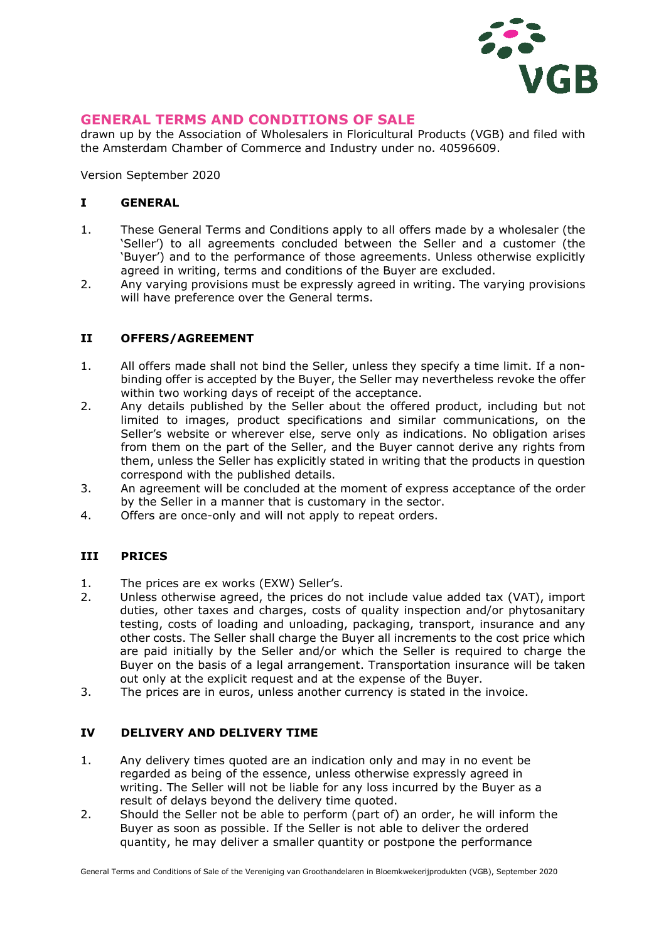

## **GENERAL TERMS AND CONDITIONS OF SALE**

drawn up by the Association of Wholesalers in Floricultural Products (VGB) and filed with the Amsterdam Chamber of Commerce and Industry under no. 40596609.

Version September 2020

#### **I GENERAL**

- 1. These General Terms and Conditions apply to all offers made by a wholesaler (the 'Seller') to all agreements concluded between the Seller and a customer (the 'Buyer') and to the performance of those agreements. Unless otherwise explicitly agreed in writing, terms and conditions of the Buyer are excluded.
- 2. Any varying provisions must be expressly agreed in writing. The varying provisions will have preference over the General terms.

#### **II OFFERS/AGREEMENT**

- 1. All offers made shall not bind the Seller, unless they specify a time limit. If a nonbinding offer is accepted by the Buyer, the Seller may nevertheless revoke the offer within two working days of receipt of the acceptance.
- 2. Any details published by the Seller about the offered product, including but not limited to images, product specifications and similar communications, on the Seller's website or wherever else, serve only as indications. No obligation arises from them on the part of the Seller, and the Buyer cannot derive any rights from them, unless the Seller has explicitly stated in writing that the products in question correspond with the published details.
- 3. An agreement will be concluded at the moment of express acceptance of the order by the Seller in a manner that is customary in the sector.
- 4. Offers are once-only and will not apply to repeat orders.

#### **III PRICES**

- 1. The prices are ex works (EXW) Seller's.
- 2. Unless otherwise agreed, the prices do not include value added tax (VAT), import duties, other taxes and charges, costs of quality inspection and/or phytosanitary testing, costs of loading and unloading, packaging, transport, insurance and any other costs. The Seller shall charge the Buyer all increments to the cost price which are paid initially by the Seller and/or which the Seller is required to charge the Buyer on the basis of a legal arrangement. Transportation insurance will be taken out only at the explicit request and at the expense of the Buyer.
- 3. The prices are in euros, unless another currency is stated in the invoice.

### **IV DELIVERY AND DELIVERY TIME**

- 1. Any delivery times quoted are an indication only and may in no event be regarded as being of the essence, unless otherwise expressly agreed in writing. The Seller will not be liable for any loss incurred by the Buyer as a result of delays beyond the delivery time quoted.
- 2. Should the Seller not be able to perform (part of) an order, he will inform the Buyer as soon as possible. If the Seller is not able to deliver the ordered quantity, he may deliver a smaller quantity or postpone the performance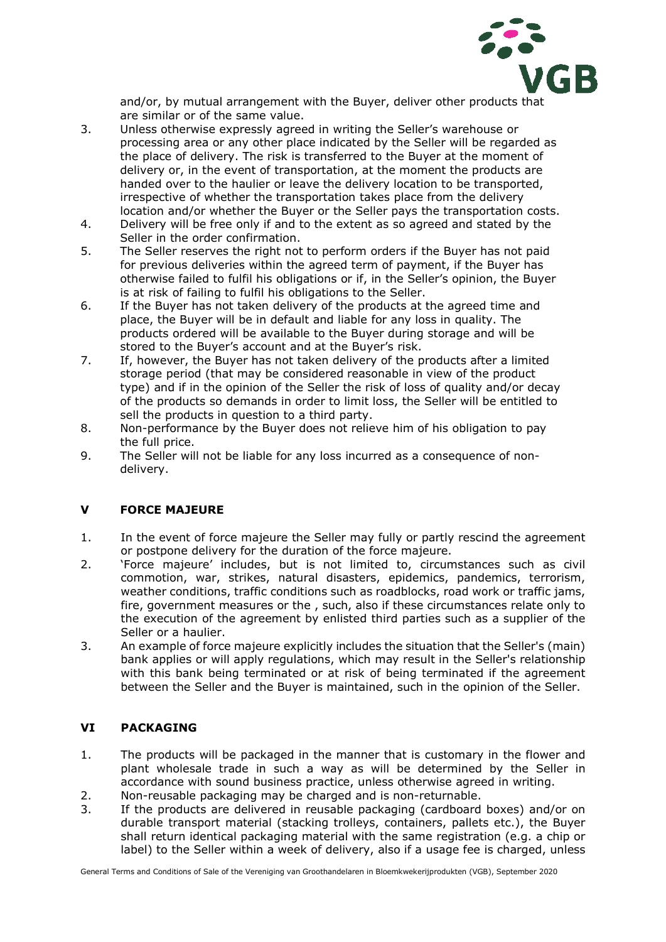

and/or, by mutual arrangement with the Buyer, deliver other products that are similar or of the same value.

- 3. Unless otherwise expressly agreed in writing the Seller's warehouse or processing area or any other place indicated by the Seller will be regarded as the place of delivery. The risk is transferred to the Buyer at the moment of delivery or, in the event of transportation, at the moment the products are handed over to the haulier or leave the delivery location to be transported, irrespective of whether the transportation takes place from the delivery location and/or whether the Buyer or the Seller pays the transportation costs.
- 4. Delivery will be free only if and to the extent as so agreed and stated by the Seller in the order confirmation.
- 5. The Seller reserves the right not to perform orders if the Buyer has not paid for previous deliveries within the agreed term of payment, if the Buyer has otherwise failed to fulfil his obligations or if, in the Seller's opinion, the Buyer is at risk of failing to fulfil his obligations to the Seller.
- 6. If the Buyer has not taken delivery of the products at the agreed time and place, the Buyer will be in default and liable for any loss in quality. The products ordered will be available to the Buyer during storage and will be stored to the Buyer's account and at the Buyer's risk.
- 7. If, however, the Buyer has not taken delivery of the products after a limited storage period (that may be considered reasonable in view of the product type) and if in the opinion of the Seller the risk of loss of quality and/or decay of the products so demands in order to limit loss, the Seller will be entitled to sell the products in question to a third party.
- 8. Non-performance by the Buyer does not relieve him of his obligation to pay the full price.
- 9. The Seller will not be liable for any loss incurred as a consequence of nondelivery.

## **V FORCE MAJEURE**

- 1. In the event of force majeure the Seller may fully or partly rescind the agreement or postpone delivery for the duration of the force majeure.
- 2. 'Force majeure' includes, but is not limited to, circumstances such as civil commotion, war, strikes, natural disasters, epidemics, pandemics, terrorism, weather conditions, traffic conditions such as roadblocks, road work or traffic jams, fire, government measures or the , such, also if these circumstances relate only to the execution of the agreement by enlisted third parties such as a supplier of the Seller or a haulier.
- 3. An example of force majeure explicitly includes the situation that the Seller's (main) bank applies or will apply regulations, which may result in the Seller's relationship with this bank being terminated or at risk of being terminated if the agreement between the Seller and the Buyer is maintained, such in the opinion of the Seller.

## **VI PACKAGING**

- 1. The products will be packaged in the manner that is customary in the flower and plant wholesale trade in such a way as will be determined by the Seller in accordance with sound business practice, unless otherwise agreed in writing.
- 2. Non-reusable packaging may be charged and is non-returnable.
- 3. If the products are delivered in reusable packaging (cardboard boxes) and/or on durable transport material (stacking trolleys, containers, pallets etc.), the Buyer shall return identical packaging material with the same registration (e.g. a chip or label) to the Seller within a week of delivery, also if a usage fee is charged, unless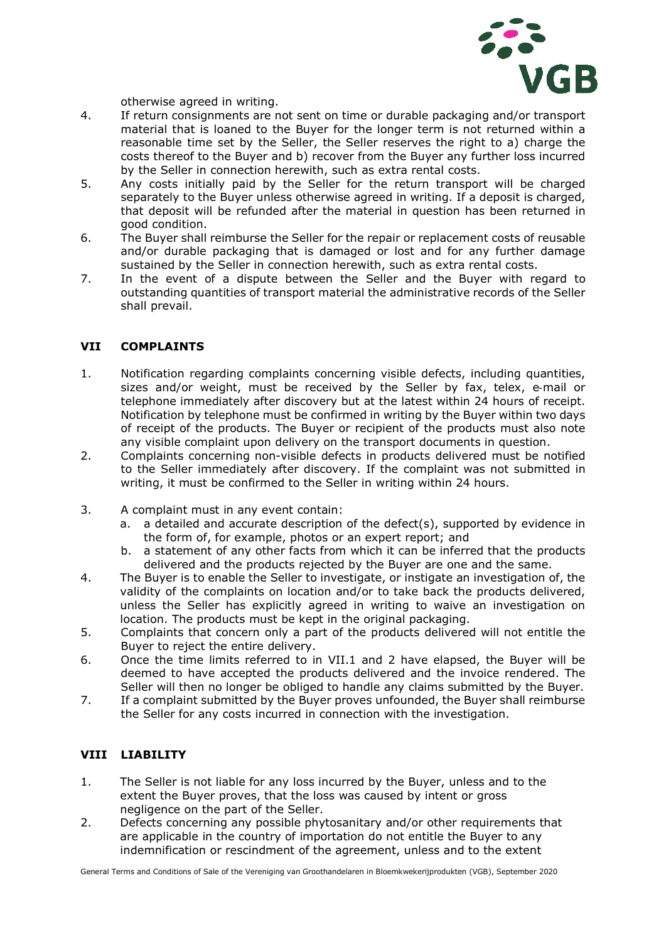

otherwise agreed in writing.

- 4. If return consignments are not sent on time or durable packaging and/or transport material that is loaned to the Buyer for the longer term is not returned within a reasonable time set by the Seller, the Seller reserves the right to a) charge the costs thereof to the Buyer and b) recover from the Buyer any further loss incurred by the Seller in connection herewith, such as extra rental costs.
- 5. Any costs initially paid by the Seller for the return transport will be charged separately to the Buyer unless otherwise agreed in writing. If a deposit is charged, that deposit will be refunded after the material in question has been returned in good condition.
- 6. The Buyer shall reimburse the Seller for the repair or replacement costs of reusable and/or durable packaging that is damaged or lost and for any further damage sustained by the Seller in connection herewith, such as extra rental costs.
- 7. In the event of a dispute between the Seller and the Buyer with regard to outstanding quantities of transport material the administrative records of the Seller shall prevail.

#### **VII COMPLAINTS**

- 1. Notification regarding complaints concerning visible defects, including quantities, sizes and/or weight, must be received by the Seller by fax, telex, e-mail or telephone immediately after discovery but at the latest within 24 hours of receipt. Notification by telephone must be confirmed in writing by the Buyer within two days of receipt of the products. The Buyer or recipient of the products must also note any visible complaint upon delivery on the transport documents in question.
- 2. Complaints concerning non-visible defects in products delivered must be notified to the Seller immediately after discovery. If the complaint was not submitted in writing, it must be confirmed to the Seller in writing within 24 hours.
- 3. A complaint must in any event contain:
	- a. a detailed and accurate description of the defect(s), supported by evidence in the form of, for example, photos or an expert report; and
	- b. a statement of any other facts from which it can be inferred that the products delivered and the products rejected by the Buyer are one and the same.
- 4. The Buyer is to enable the Seller to investigate, or instigate an investigation of, the validity of the complaints on location and/or to take back the products delivered, unless the Seller has explicitly agreed in writing to waive an investigation on location. The products must be kept in the original packaging.
- 5. Complaints that concern only a part of the products delivered will not entitle the Buyer to reject the entire delivery.
- 6. Once the time limits referred to in VII.1 and 2 have elapsed, the Buyer will be deemed to have accepted the products delivered and the invoice rendered. The Seller will then no longer be obliged to handle any claims submitted by the Buyer.
- 7. If a complaint submitted by the Buyer proves unfounded, the Buyer shall reimburse the Seller for any costs incurred in connection with the investigation.

## **VIII LIABILITY**

- 1. The Seller is not liable for any loss incurred by the Buyer, unless and to the extent the Buyer proves, that the loss was caused by intent or gross negligence on the part of the Seller.
- 2. Defects concerning any possible phytosanitary and/or other requirements that are applicable in the country of importation do not entitle the Buyer to any indemnification or rescindment of the agreement, unless and to the extent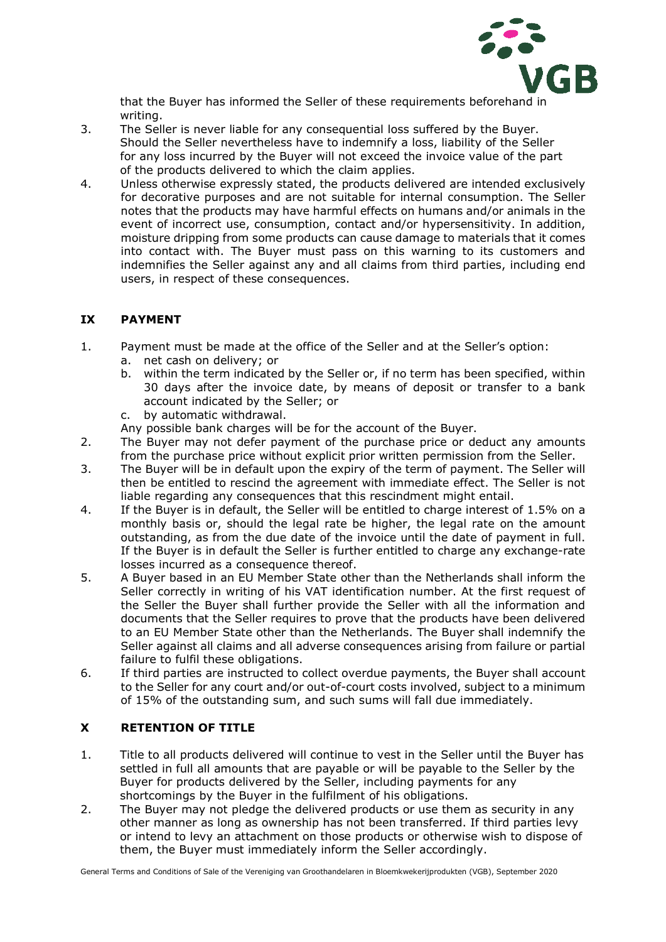

that the Buyer has informed the Seller of these requirements beforehand in writing.

- 3. The Seller is never liable for any consequential loss suffered by the Buyer. Should the Seller nevertheless have to indemnify a loss, liability of the Seller for any loss incurred by the Buyer will not exceed the invoice value of the part of the products delivered to which the claim applies.
- 4. Unless otherwise expressly stated, the products delivered are intended exclusively for decorative purposes and are not suitable for internal consumption. The Seller notes that the products may have harmful effects on humans and/or animals in the event of incorrect use, consumption, contact and/or hypersensitivity. In addition, moisture dripping from some products can cause damage to materials that it comes into contact with. The Buyer must pass on this warning to its customers and indemnifies the Seller against any and all claims from third parties, including end users, in respect of these consequences.

## **IX PAYMENT**

- 1. Payment must be made at the office of the Seller and at the Seller's option:
	- a. net cash on delivery; or
	- b. within the term indicated by the Seller or, if no term has been specified, within 30 days after the invoice date, by means of deposit or transfer to a bank account indicated by the Seller; or
	- c. by automatic withdrawal.
	- Any possible bank charges will be for the account of the Buyer.
- 2. The Buyer may not defer payment of the purchase price or deduct any amounts from the purchase price without explicit prior written permission from the Seller.
- 3. The Buyer will be in default upon the expiry of the term of payment. The Seller will then be entitled to rescind the agreement with immediate effect. The Seller is not liable regarding any consequences that this rescindment might entail.
- 4. If the Buyer is in default, the Seller will be entitled to charge interest of 1.5% on a monthly basis or, should the legal rate be higher, the legal rate on the amount outstanding, as from the due date of the invoice until the date of payment in full. If the Buyer is in default the Seller is further entitled to charge any exchange-rate losses incurred as a consequence thereof.
- 5. A Buyer based in an EU Member State other than the Netherlands shall inform the Seller correctly in writing of his VAT identification number. At the first request of the Seller the Buyer shall further provide the Seller with all the information and documents that the Seller requires to prove that the products have been delivered to an EU Member State other than the Netherlands. The Buyer shall indemnify the Seller against all claims and all adverse consequences arising from failure or partial failure to fulfil these obligations.
- 6. If third parties are instructed to collect overdue payments, the Buyer shall account to the Seller for any court and/or out-of-court costs involved, subject to a minimum of 15% of the outstanding sum, and such sums will fall due immediately.

# **X RETENTION OF TITLE**

- 1. Title to all products delivered will continue to vest in the Seller until the Buyer has settled in full all amounts that are payable or will be payable to the Seller by the Buyer for products delivered by the Seller, including payments for any shortcomings by the Buyer in the fulfilment of his obligations.
- 2. The Buyer may not pledge the delivered products or use them as security in any other manner as long as ownership has not been transferred. If third parties levy or intend to levy an attachment on those products or otherwise wish to dispose of them, the Buyer must immediately inform the Seller accordingly.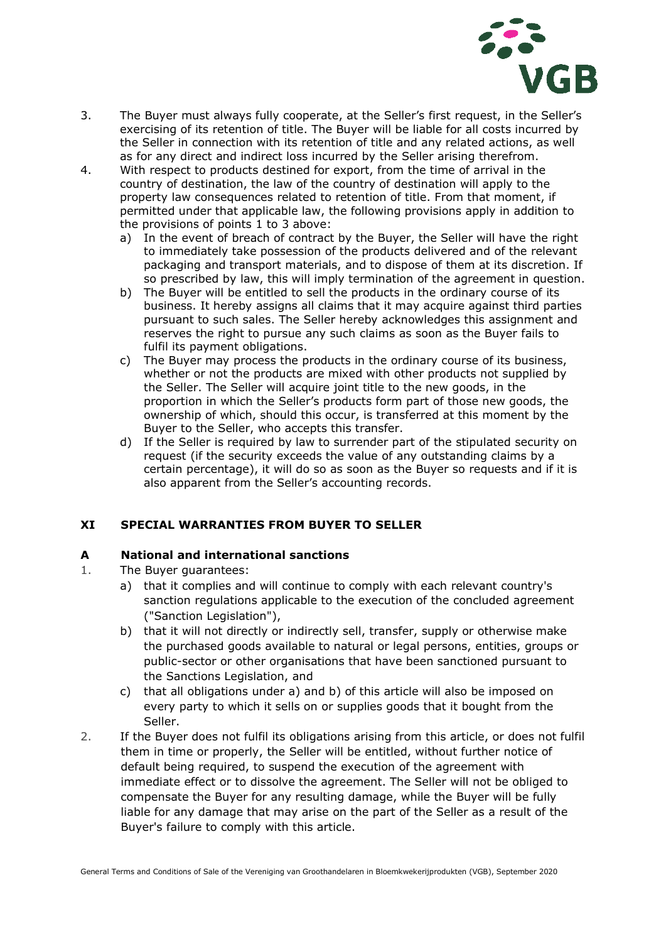

- 3. The Buyer must always fully cooperate, at the Seller's first request, in the Seller's exercising of its retention of title. The Buyer will be liable for all costs incurred by the Seller in connection with its retention of title and any related actions, as well as for any direct and indirect loss incurred by the Seller arising therefrom.
- 4. With respect to products destined for export, from the time of arrival in the country of destination, the law of the country of destination will apply to the property law consequences related to retention of title. From that moment, if permitted under that applicable law, the following provisions apply in addition to the provisions of points 1 to 3 above:
	- a) In the event of breach of contract by the Buyer, the Seller will have the right to immediately take possession of the products delivered and of the relevant packaging and transport materials, and to dispose of them at its discretion. If so prescribed by law, this will imply termination of the agreement in question.
	- b) The Buyer will be entitled to sell the products in the ordinary course of its business. It hereby assigns all claims that it may acquire against third parties pursuant to such sales. The Seller hereby acknowledges this assignment and reserves the right to pursue any such claims as soon as the Buyer fails to fulfil its payment obligations.
	- c) The Buyer may process the products in the ordinary course of its business, whether or not the products are mixed with other products not supplied by the Seller. The Seller will acquire joint title to the new goods, in the proportion in which the Seller's products form part of those new goods, the ownership of which, should this occur, is transferred at this moment by the Buyer to the Seller, who accepts this transfer.
	- d) If the Seller is required by law to surrender part of the stipulated security on request (if the security exceeds the value of any outstanding claims by a certain percentage), it will do so as soon as the Buyer so requests and if it is also apparent from the Seller's accounting records.

# **XI SPECIAL WARRANTIES FROM BUYER TO SELLER**

## **A National and international sanctions**

- 1. The Buyer guarantees:
	- a) that it complies and will continue to comply with each relevant country's sanction regulations applicable to the execution of the concluded agreement ("Sanction Legislation"),
	- b) that it will not directly or indirectly sell, transfer, supply or otherwise make the purchased goods available to natural or legal persons, entities, groups or public-sector or other organisations that have been sanctioned pursuant to the Sanctions Legislation, and
	- c) that all obligations under a) and b) of this article will also be imposed on every party to which it sells on or supplies goods that it bought from the Seller.
- 2. If the Buyer does not fulfil its obligations arising from this article, or does not fulfil them in time or properly, the Seller will be entitled, without further notice of default being required, to suspend the execution of the agreement with immediate effect or to dissolve the agreement. The Seller will not be obliged to compensate the Buyer for any resulting damage, while the Buyer will be fully liable for any damage that may arise on the part of the Seller as a result of the Buyer's failure to comply with this article.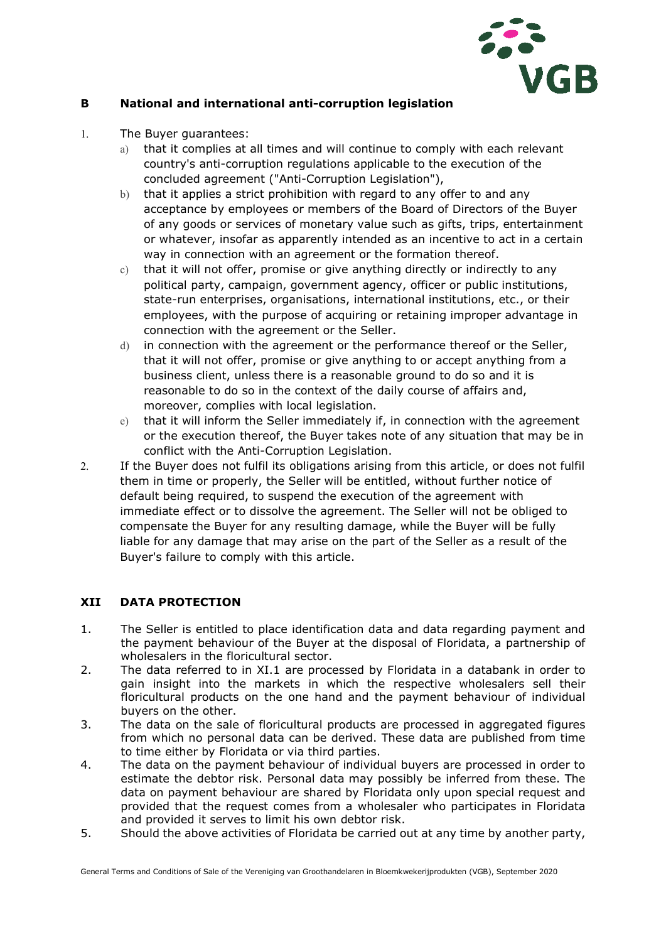

### **B National and international anti-corruption legislation**

- 1. The Buyer guarantees:
	- a) that it complies at all times and will continue to comply with each relevant country's anti-corruption regulations applicable to the execution of the concluded agreement ("Anti-Corruption Legislation"),
	- b) that it applies a strict prohibition with regard to any offer to and any acceptance by employees or members of the Board of Directors of the Buyer of any goods or services of monetary value such as gifts, trips, entertainment or whatever, insofar as apparently intended as an incentive to act in a certain way in connection with an agreement or the formation thereof.
	- c) that it will not offer, promise or give anything directly or indirectly to any political party, campaign, government agency, officer or public institutions, state-run enterprises, organisations, international institutions, etc., or their employees, with the purpose of acquiring or retaining improper advantage in connection with the agreement or the Seller.
	- d) in connection with the agreement or the performance thereof or the Seller, that it will not offer, promise or give anything to or accept anything from a business client, unless there is a reasonable ground to do so and it is reasonable to do so in the context of the daily course of affairs and, moreover, complies with local legislation.
	- e) that it will inform the Seller immediately if, in connection with the agreement or the execution thereof, the Buyer takes note of any situation that may be in conflict with the Anti-Corruption Legislation.
- 2. If the Buyer does not fulfil its obligations arising from this article, or does not fulfil them in time or properly, the Seller will be entitled, without further notice of default being required, to suspend the execution of the agreement with immediate effect or to dissolve the agreement. The Seller will not be obliged to compensate the Buyer for any resulting damage, while the Buyer will be fully liable for any damage that may arise on the part of the Seller as a result of the Buyer's failure to comply with this article.

## **XII DATA PROTECTION**

- 1. The Seller is entitled to place identification data and data regarding payment and the payment behaviour of the Buyer at the disposal of Floridata, a partnership of wholesalers in the floricultural sector.
- 2. The data referred to in XI.1 are processed by Floridata in a databank in order to gain insight into the markets in which the respective wholesalers sell their floricultural products on the one hand and the payment behaviour of individual buyers on the other.
- 3. The data on the sale of floricultural products are processed in aggregated figures from which no personal data can be derived. These data are published from time to time either by Floridata or via third parties.
- 4. The data on the payment behaviour of individual buyers are processed in order to estimate the debtor risk. Personal data may possibly be inferred from these. The data on payment behaviour are shared by Floridata only upon special request and provided that the request comes from a wholesaler who participates in Floridata and provided it serves to limit his own debtor risk.
- 5. Should the above activities of Floridata be carried out at any time by another party,